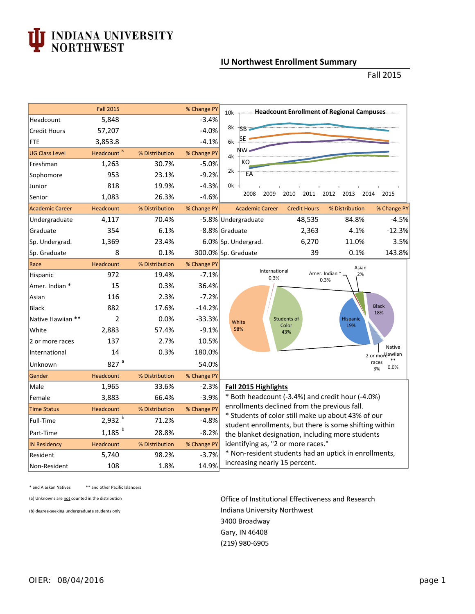## I INDIANA UNIVERSITY<br>NORTHWEST

## **IU Northwest Enrollment Summary**

Fall 2015

|                        | <b>Fall 2015</b>       |                | % Change PY | 10k - Headcount Enrollment of Regional Campuses                                                                                                                                                                                                                      |  |  |  |  |
|------------------------|------------------------|----------------|-------------|----------------------------------------------------------------------------------------------------------------------------------------------------------------------------------------------------------------------------------------------------------------------|--|--|--|--|
| Headcount              | 5,848                  |                | $-3.4%$     |                                                                                                                                                                                                                                                                      |  |  |  |  |
| <b>Credit Hours</b>    | 57,207                 |                | $-4.0%$     | 8k<br>SB.                                                                                                                                                                                                                                                            |  |  |  |  |
| <b>FTE</b>             | 3,853.8                |                | $-4.1%$     | ÞЕ<br>6k                                                                                                                                                                                                                                                             |  |  |  |  |
| <b>UG Class Level</b>  | Headcount <sup>b</sup> | % Distribution | % Change PY | ΝW<br>4k                                                                                                                                                                                                                                                             |  |  |  |  |
| Freshman               | 1,263                  | 30.7%          | $-5.0%$     | КO                                                                                                                                                                                                                                                                   |  |  |  |  |
| Sophomore              | 953                    | 23.1%          | $-9.2%$     | 2k<br>ËÄ                                                                                                                                                                                                                                                             |  |  |  |  |
| Junior                 | 818                    | 19.9%          | $-4.3%$     | 0k                                                                                                                                                                                                                                                                   |  |  |  |  |
| Senior                 | 1,083                  | 26.3%          | $-4.6%$     | 2008<br>2009<br>2010<br>2011<br>2012<br>2013<br>2014<br>2015                                                                                                                                                                                                         |  |  |  |  |
| <b>Academic Career</b> | Headcount              | % Distribution | % Change PY | <b>Academic Career</b><br><b>Credit Hours</b><br>% Distribution<br>% Change PY                                                                                                                                                                                       |  |  |  |  |
| Undergraduate          | 4,117                  | 70.4%          |             | 48,535<br>84.8%<br>$-4.5%$<br>-5.8% Undergraduate                                                                                                                                                                                                                    |  |  |  |  |
| Graduate               | 354                    | 6.1%           |             | $-12.3%$<br>-8.8% Graduate<br>2,363<br>4.1%                                                                                                                                                                                                                          |  |  |  |  |
| Sp. Undergrad.         | 1,369                  | 23.4%          |             | 3.5%<br>6.0% Sp. Undergrad.<br>6,270<br>11.0%                                                                                                                                                                                                                        |  |  |  |  |
| Sp. Graduate           | 8                      | 0.1%           |             | 143.8%<br>300.0% Sp. Graduate<br>39<br>0.1%                                                                                                                                                                                                                          |  |  |  |  |
| Race                   | Headcount              | % Distribution | % Change PY | Asian                                                                                                                                                                                                                                                                |  |  |  |  |
| Hispanic               | 972                    | 19.4%          | $-7.1%$     | International<br>Amer. Indian *<br>2%<br>0.3%<br>0.3%                                                                                                                                                                                                                |  |  |  |  |
| Amer. Indian *         | 15                     | 0.3%           | 36.4%       |                                                                                                                                                                                                                                                                      |  |  |  |  |
| Asian                  | 116                    | 2.3%           | $-7.2%$     |                                                                                                                                                                                                                                                                      |  |  |  |  |
| <b>Black</b>           | 882                    | 17.6%          | $-14.2%$    | <b>Black</b><br>18%                                                                                                                                                                                                                                                  |  |  |  |  |
| Native Hawijan **      | 2                      | 0.0%           | $-33.3%$    | Students of<br><b>Hispanic</b><br>White<br>19%<br>Color                                                                                                                                                                                                              |  |  |  |  |
| White                  | 2,883                  | 57.4%          | $-9.1%$     | 58%<br>43%                                                                                                                                                                                                                                                           |  |  |  |  |
| 2 or more races        | 137                    | 2.7%           | 10.5%       | Native                                                                                                                                                                                                                                                               |  |  |  |  |
| International          | 14                     | 0.3%           | 180.0%      | 2 or mordawiian                                                                                                                                                                                                                                                      |  |  |  |  |
| Unknown                | 827a                   |                | 54.0%       | races<br>0.0%<br>3%                                                                                                                                                                                                                                                  |  |  |  |  |
| Gender                 | <b>Headcount</b>       | % Distribution | % Change PY |                                                                                                                                                                                                                                                                      |  |  |  |  |
| Male                   | 1,965                  | 33.6%          | $-2.3%$     | Fall 2015 Highlights                                                                                                                                                                                                                                                 |  |  |  |  |
| Female                 | 3,883                  | 66.4%          | $-3.9%$     | * Both headcount (-3.4%) and credit hour (-4.0%)<br>enrollments declined from the previous fall.<br>* Students of color still make up about 43% of our<br>student enrollments, but there is some shifting within<br>the blanket designation, including more students |  |  |  |  |
| <b>Time Status</b>     | Headcount              | % Distribution | % Change PY |                                                                                                                                                                                                                                                                      |  |  |  |  |
| Full-Time              | $2,932^{b}$            | 71.2%          | $-4.8%$     |                                                                                                                                                                                                                                                                      |  |  |  |  |
| Part-Time              | $1,185$ <sup>b</sup>   | 28.8%          | $-8.2%$     |                                                                                                                                                                                                                                                                      |  |  |  |  |
| <b>IN Residency</b>    | Headcount              | % Distribution | % Change PY | identifying as, "2 or more races."                                                                                                                                                                                                                                   |  |  |  |  |
| Resident               | 5,740                  | 98.2%          | $-3.7%$     | * Non-resident students had an uptick in enrollments,                                                                                                                                                                                                                |  |  |  |  |
| Non-Resident           | 108                    | 1.8%           | 14.9%       | increasing nearly 15 percent.                                                                                                                                                                                                                                        |  |  |  |  |

\* and Alaskan Natives \*\* and other Pacific Islanders

(a) Unknowns are not counted in the distribution **Office of Institutional Effectiveness and Research** (b) degree-seeking undergraduate students only **Indiana University Northwest** 3400 Broadway Gary, IN 46408 (219) 980‐6905